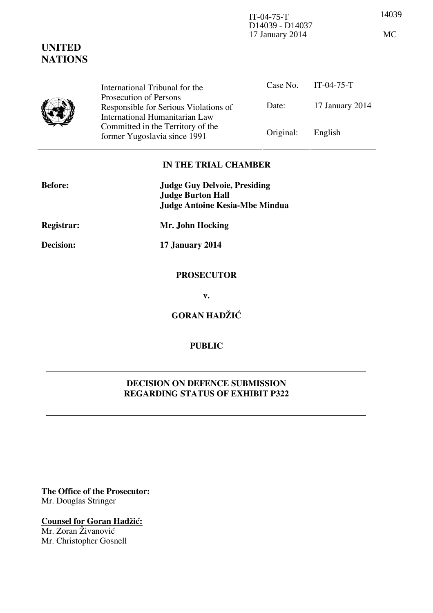14039 IT-04-75-T D14039 - D14037 17 January 2014 MC

|  | International Tribunal for the                                                                    |           | Case No. IT-04-75-T |
|--|---------------------------------------------------------------------------------------------------|-----------|---------------------|
|  | Prosecution of Persons<br>Responsible for Serious Violations of<br>International Humanitarian Law | Date:     | 17 January 2014     |
|  | Committed in the Territory of the<br>former Yugoslavia since 1991                                 | Original: | English             |

## **IN THE TRIAL CHAMBER**

| <b>Judge Guy Delvoie, Presiding</b><br><b>Judge Burton Hall</b><br>Judge Antoine Kesia-Mbe Mindua |  |
|---------------------------------------------------------------------------------------------------|--|
| Mr. John Hocking                                                                                  |  |
| 17 January 2014                                                                                   |  |
| <b>PROSECUTOR</b>                                                                                 |  |
| v.                                                                                                |  |
| <b>GORAN HADŽIĆ</b>                                                                               |  |
|                                                                                                   |  |

## **PUBLIC**

## **DECISION ON DEFENCE SUBMISSION REGARDING STATUS OF EXHIBIT P322**

**The Office of the Prosecutor:** Mr. Douglas Stringer

**Counsel for Goran Hadžić:** Mr. Zoran Živanović Mr. Christopher Gosnell

## **UNITED NATIONS**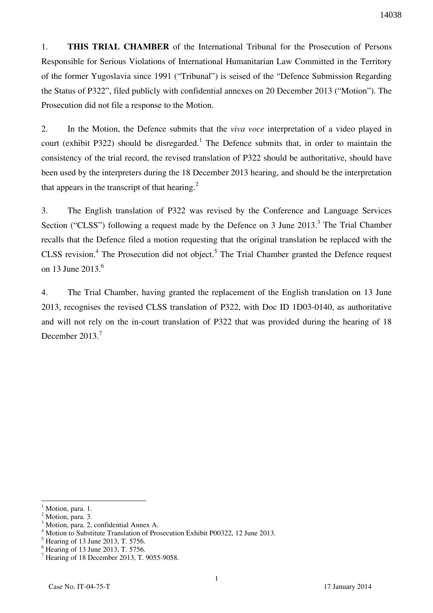1. **THIS TRIAL CHAMBER** of the International Tribunal for the Prosecution of Persons Responsible for Serious Violations of International Humanitarian Law Committed in the Territory of the former Yugoslavia since 1991 ("Tribunal") is seised of the "Defence Submission Regarding the Status of P322", filed publicly with confidential annexes on 20 December 2013 ("Motion"). The Prosecution did not file a response to the Motion.

2. In the Motion, the Defence submits that the *viva voce* interpretation of a video played in court (exhibit P322) should be disregarded.<sup>1</sup> The Defence submits that, in order to maintain the consistency of the trial record, the revised translation of P322 should be authoritative, should have been used by the interpreters during the 18 December 2013 hearing, and should be the interpretation that appears in the transcript of that hearing. $2$ 

3. The English translation of P322 was revised by the Conference and Language Services Section ("CLSS") following a request made by the Defence on 3 June  $2013$ .<sup>3</sup> The Trial Chamber recalls that the Defence filed a motion requesting that the original translation be replaced with the CLSS revision.<sup>4</sup> The Prosecution did not object.<sup>5</sup> The Trial Chamber granted the Defence request on 13 June  $2013.<sup>6</sup>$ 

4. The Trial Chamber, having granted the replacement of the English translation on 13 June 2013, recognises the revised CLSS translation of P322, with Doc ID 1D03-0140, as authoritative and will not rely on the in-court translation of P322 that was provided during the hearing of 18 December  $2013.<sup>7</sup>$ 

 $\overline{a}$ 

<sup>1</sup> Motion, para. 1.

 $<sup>2</sup>$  Motion, para. 3.</sup>

<sup>3</sup> Motion, para. 2, confidential Annex A.

<sup>4</sup> Motion to Substitute Translation of Prosecution Exhibit P00322, 12 June 2013.

<sup>&</sup>lt;sup>5</sup> Hearing of 13 June 2013, T. 5756.

<sup>6</sup> Hearing of 13 June 2013, T. 5756.

<sup>7</sup> Hearing of 18 December 2013, T. 9055-9058.